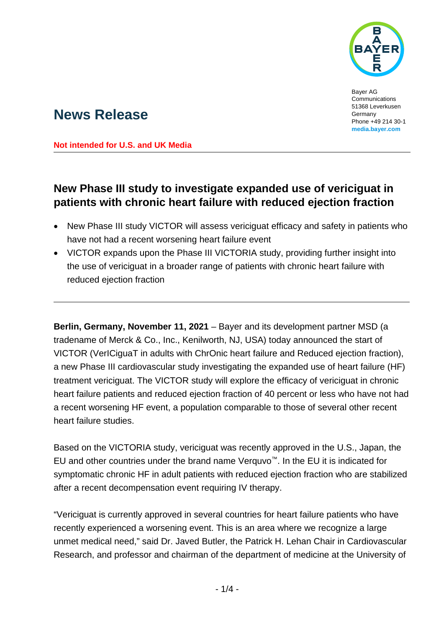

Bayer AG Communications 51368 Leverkusen Germany Phone +49 214 30-1 **[media.bayer.com](http://media.bayer.com/)**

# **News Release**

**Not intended for U.S. and UK Media**

## **New Phase III study to investigate expanded use of vericiguat in patients with chronic heart failure with reduced ejection fraction**

- New Phase III study VICTOR will assess vericiguat efficacy and safety in patients who have not had a recent worsening heart failure event
- VICTOR expands upon the Phase III VICTORIA study, providing further insight into the use of vericiguat in a broader range of patients with chronic heart failure with reduced ejection fraction

**Berlin, Germany, November 11, 2021** – Bayer and its development partner MSD (a tradename of Merck & Co., Inc., Kenilworth, NJ, USA) today announced the start of VICTOR (VerICiguaT in adults with ChrOnic heart failure and Reduced ejection fraction), a new Phase III cardiovascular study investigating the expanded use of heart failure (HF) treatment vericiguat. The VICTOR study will explore the efficacy of vericiguat in chronic heart failure patients and reduced ejection fraction of 40 percent or less who have not had a recent worsening HF event, a population comparable to those of several other recent heart failure studies.

Based on the VICTORIA study, vericiguat was recently approved in the U.S., Japan, the EU and other countries under the brand name Verquvo™. In the EU it is indicated for symptomatic chronic HF in adult patients with reduced ejection fraction who are stabilized after a recent decompensation event requiring IV therapy.

"Vericiguat is currently approved in several countries for heart failure patients who have recently experienced a worsening event. This is an area where we recognize a large unmet medical need," said Dr. Javed Butler, the Patrick H. Lehan Chair in Cardiovascular Research, and professor and chairman of the department of medicine at the University of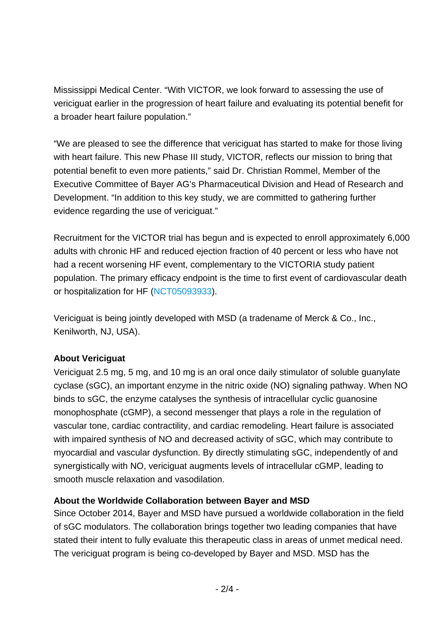Mississippi Medical Center. "With VICTOR, we look forward to assessing the use of vericiguat earlier in the progression of heart failure and evaluating its potential benefit for a broader heart failure population."

"We are pleased to see the difference that vericiguat has started to make for those living with heart failure. This new Phase III study, VICTOR, reflects our mission to bring that potential benefit to even more patients," said Dr. Christian Rommel, Member of the Executive Committee of Bayer AG's Pharmaceutical Division and Head of Research and Development. "In addition to this key study, we are committed to gathering further evidence regarding the use of vericiguat."

Recruitment for the VICTOR trial has begun and is expected to enroll approximately 6,000 adults with chronic HF and reduced ejection fraction of 40 percent or less who have not had a recent worsening HF event, complementary to the VICTORIA study patient population. The primary efficacy endpoint is the time to first event of cardiovascular death or hospitalization for HF [\(NCT05093933\)](https://clinicaltrials.gov/ct2/show/NCT05093933?term=mk-1242&draw=2&rank=1).

Vericiguat is being jointly developed with MSD (a tradename of Merck & Co., Inc., Kenilworth, NJ, USA).

### **About Vericiguat**

Vericiguat 2.5 mg, 5 mg, and 10 mg is an oral once daily stimulator of soluble guanylate cyclase (sGC), an important enzyme in the nitric oxide (NO) signaling pathway. When NO binds to sGC, the enzyme catalyses the synthesis of intracellular cyclic guanosine monophosphate (cGMP), a second messenger that plays a role in the regulation of vascular tone, cardiac contractility, and cardiac remodeling. Heart failure is associated with impaired synthesis of NO and decreased activity of sGC, which may contribute to myocardial and vascular dysfunction. By directly stimulating sGC, independently of and synergistically with NO, vericiguat augments levels of intracellular cGMP, leading to smooth muscle relaxation and vasodilation.

### **About the Worldwide Collaboration between Bayer and MSD**

Since October 2014, Bayer and MSD have pursued a worldwide collaboration in the field of sGC modulators. The collaboration brings together two leading companies that have stated their intent to fully evaluate this therapeutic class in areas of unmet medical need. The vericiguat program is being co-developed by Bayer and MSD. MSD has the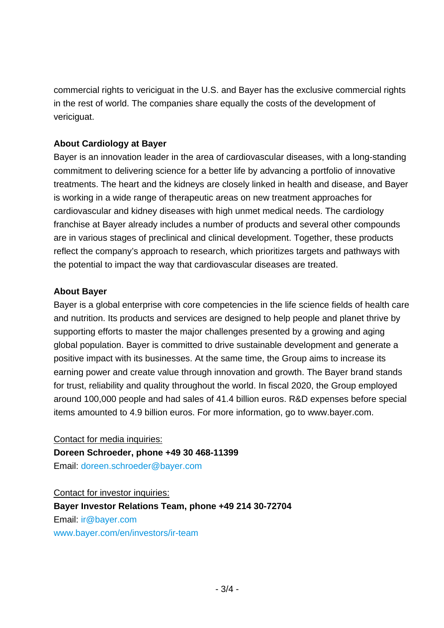commercial rights to vericiguat in the U.S. and Bayer has the exclusive commercial rights in the rest of world. The companies share equally the costs of the development of vericiguat.

#### **About Cardiology at Bayer**

Bayer is an innovation leader in the area of cardiovascular diseases, with a long-standing commitment to delivering science for a better life by advancing a portfolio of innovative treatments. The heart and the kidneys are closely linked in health and disease, and Bayer is working in a wide range of therapeutic areas on new treatment approaches for cardiovascular and kidney diseases with high unmet medical needs. The cardiology franchise at Bayer already includes a number of products and several other compounds are in various stages of preclinical and clinical development. Together, these products reflect the company's approach to research, which prioritizes targets and pathways with the potential to impact the way that cardiovascular diseases are treated.

#### **About Bayer**

Bayer is a global enterprise with core competencies in the life science fields of health care and nutrition. Its products and services are designed to help people and planet thrive by supporting efforts to master the major challenges presented by a growing and aging global population. Bayer is committed to drive sustainable development and generate a positive impact with its businesses. At the same time, the Group aims to increase its earning power and create value through innovation and growth. The Bayer brand stands for trust, reliability and quality throughout the world. In fiscal 2020, the Group employed around 100,000 people and had sales of 41.4 billion euros. R&D expenses before special items amounted to 4.9 billion euros. For more information, go to [www.bayer.com.](http://www.bayer.com/)

Contact for media inquiries:

**Doreen Schroeder, phone +49 30 468-11399** Email: [doreen.schroeder@bayer.com](mailto:doreen.schroeder@bayer.com)

Contact for investor inquiries:

**Bayer Investor Relations Team, phone +49 214 30-72704** Email: [ir@bayer.com](mailto:ir@bayer.com) [www.bayer.com/en/investors/ir-team](https://www.bayer.com/en/investors/ir-team)